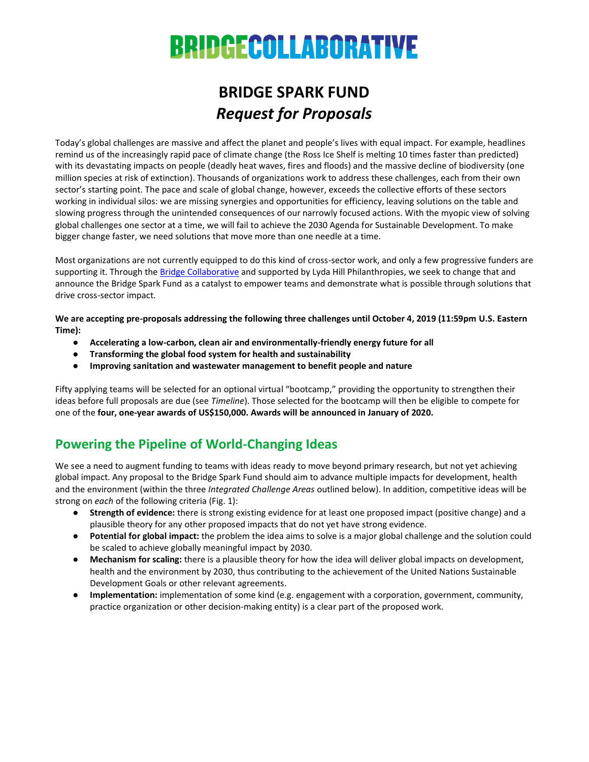# **BRIDGECOLLABORATIVE**

# **BRIDGE SPARK FUND** *Request for Proposals*

Today's global challenges are massive and affect the planet and people's lives with equal impact. For example, headlines remind us of the increasingly rapid pace of climate change (the Ross Ice Shelf is melting 10 times faster than predicted) with its devastating impacts on people (deadly heat waves, fires and floods) and the massive decline of biodiversity (one million species at risk of extinction). Thousands of organizations work to address these challenges, each from their own sector's starting point. The pace and scale of global change, however, exceeds the collective efforts of these sectors working in individual silos: we are missing synergies and opportunities for efficiency, leaving solutions on the table and slowing progress through the unintended consequences of our narrowly focused actions. With the myopic view of solving global challenges one sector at a time, we will fail to achieve the 2030 Agenda for Sustainable Development. To make bigger change faster, we need solutions that move more than one needle at a time.

Most organizations are not currently equipped to do this kind of cross-sector work, and only a few progressive funders are supporting it. Through th[e Bridge Collaborative](http://bridgecollaborativeglobal.org/) and supported by Lyda Hill Philanthropies, we seek to change that and announce the Bridge Spark Fund as a catalyst to empower teams and demonstrate what is possible through solutions that drive cross-sector impact.

**We are accepting pre-proposals addressing the following three challenges until October 4, 2019 (11:59pm U.S. Eastern Time):**

- **Accelerating a low-carbon, clean air and environmentally-friendly energy future for all**
- **Transforming the global food system for health and sustainability**
- **Improving sanitation and wastewater management to benefit people and nature**

Fifty applying teams will be selected for an optional virtual "bootcamp," providing the opportunity to strengthen their ideas before full proposals are due (see *Timeline*). Those selected for the bootcamp will then be eligible to compete for one of the **four, one-year awards of US\$150,000. Awards will be announced in January of 2020.**

# **Powering the Pipeline of World-Changing Ideas**

We see a need to augment funding to teams with ideas ready to move beyond primary research, but not yet achieving global impact. Any proposal to the Bridge Spark Fund should aim to advance multiple impacts for development, health and the environment (within the three *Integrated Challenge Areas* outlined below). In addition, competitive ideas will be strong on *each* of the following criteria (Fig. 1):

- **Strength of evidence:** there is strong existing evidence for at least one proposed impact (positive change) and a plausible theory for any other proposed impacts that do not yet have strong evidence.
- **Potential for global impact:** the problem the idea aims to solve is a major global challenge and the solution could be scaled to achieve globally meaningful impact by 2030.
- **Mechanism for scaling:** there is a plausible theory for how the idea will deliver global impacts on development, health and the environment by 2030, thus contributing to the achievement of the United Nations Sustainable Development Goals or other relevant agreements.
- **Implementation:** implementation of some kind (e.g. engagement with a corporation, government, community, practice organization or other decision-making entity) is a clear part of the proposed work.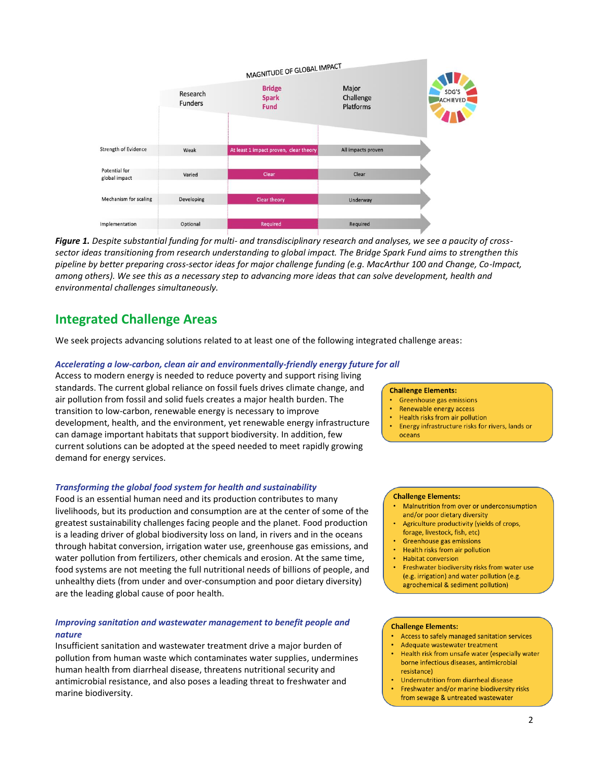

*Figure 1. Despite substantial funding for multi- and transdisciplinary research and analyses, we see a paucity of crosssector ideas transitioning from research understanding to global impact. The Bridge Spark Fund aims to strengthen this pipeline by better preparing cross-sector ideas for major challenge funding (e.g. MacArthur 100 and Change, Co-Impact, among others). We see this as a necessary step to advancing more ideas that can solve development, health and environmental challenges simultaneously.*

## **Integrated Challenge Areas**

We seek projects advancing solutions related to at least one of the following integrated challenge areas:

#### *Accelerating a low-carbon, clean air and environmentally-friendly energy future for all*

Access to modern energy is needed to reduce poverty and support rising living standards. The current global reliance on fossil fuels drives climate change, and air pollution from fossil and solid fuels creates a major health burden. The transition to low-carbon, renewable energy is necessary to improve development, health, and the environment, yet renewable energy infrastructure can damage important habitats that support biodiversity. In addition, few current solutions can be adopted at the speed needed to meet rapidly growing demand for energy services.

#### *Transforming the global food system for health and sustainability*

Food is an essential human need and its production contributes to many livelihoods, but its production and consumption are at the center of some of the greatest sustainability challenges facing people and the planet. Food production is a leading driver of global biodiversity loss on land, in rivers and in the oceans through habitat conversion, irrigation water use, greenhouse gas emissions, and water pollution from fertilizers, other chemicals and erosion. At the same time, food systems are not meeting the full nutritional needs of billions of people, and unhealthy diets (from under and over-consumption and poor dietary diversity) are the leading global cause of poor health.

#### *Improving sanitation and wastewater management to benefit people and nature*

Insufficient sanitation and wastewater treatment drive a major burden of pollution from human waste which contaminates water supplies, undermines human health from diarrheal disease, threatens nutritional security and antimicrobial resistance, and also poses a leading threat to freshwater and marine biodiversity.

#### **Challenge Elements:**

- **Greenhouse gas emissions**
- Renewable energy access
- Health risks from air pollution
- Energy infrastructure risks for rivers, lands or oceans

#### **Challenge Elements:**

- Malnutrition from over or underconsumption and/or poor dietary diversity
- Agriculture productivity (yields of crops, forage, livestock, fish, etc)
- Greenhouse gas emissions
- Health risks from air pollution
- **Habitat conversion**
- Freshwater biodiversity risks from water use (e.g. irrigation) and water pollution (e.g. agrochemical & sediment pollution)

#### **Challenge Elements:**

- Access to safely managed sanitation services
- Adequate wastewater treatment
- Health risk from unsafe water (especially water borne infectious diseases, antimicrobial resistance)
- Undernutrition from diarrheal disease
- Freshwater and/or marine biodiversity risks from sewage & untreated wastewater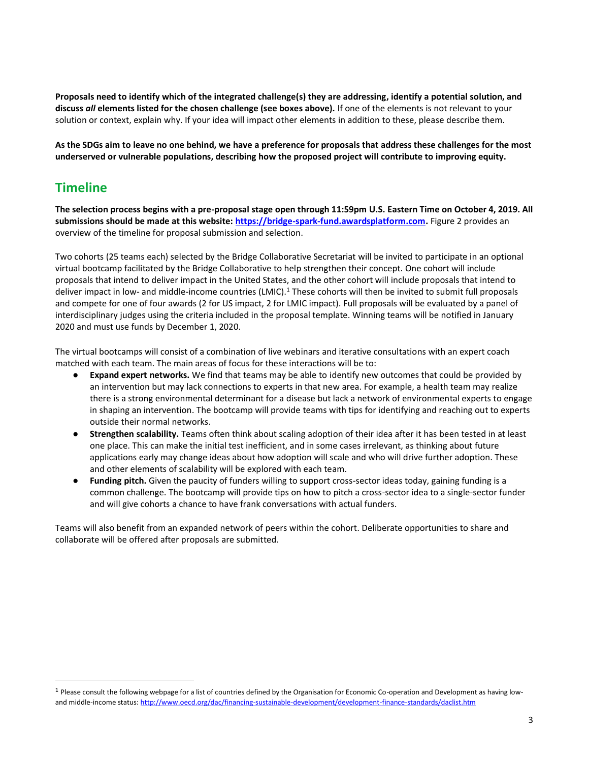**Proposals need to identify which of the integrated challenge(s) they are addressing, identify a potential solution, and discuss** *all* **elements listed for the chosen challenge (see boxes above).** If one of the elements is not relevant to your solution or context, explain why. If your idea will impact other elements in addition to these, please describe them.

**As the SDGs aim to leave no one behind, we have a preference for proposals that address these challenges for the most underserved or vulnerable populations, describing how the proposed project will contribute to improving equity.** 

### **Timeline**

**The selection process begins with a pre-proposal stage open through 11:59pm U.S. Eastern Time on October 4, 2019. All submissions should be made at this website: [https://bridge-spark-fund.awardsplatform.com.](https://bridge-spark-fund.awardsplatform.com/)** Figure 2 provides an overview of the timeline for proposal submission and selection.

Two cohorts (25 teams each) selected by the Bridge Collaborative Secretariat will be invited to participate in an optional virtual bootcamp facilitated by the Bridge Collaborative to help strengthen their concept. One cohort will include proposals that intend to deliver impact in the United States, and the other cohort will include proposals that intend to deliver impact in low- and middle-income countries (LMIC).<sup>1</sup> These cohorts will then be invited to submit full proposals and compete for one of four awards (2 for US impact, 2 for LMIC impact). Full proposals will be evaluated by a panel of interdisciplinary judges using the criteria included in the proposal template. Winning teams will be notified in January 2020 and must use funds by December 1, 2020.

The virtual bootcamps will consist of a combination of live webinars and iterative consultations with an expert coach matched with each team. The main areas of focus for these interactions will be to:

- **Expand expert networks.** We find that teams may be able to identify new outcomes that could be provided by an intervention but may lack connections to experts in that new area. For example, a health team may realize there is a strong environmental determinant for a disease but lack a network of environmental experts to engage in shaping an intervention. The bootcamp will provide teams with tips for identifying and reaching out to experts outside their normal networks.
- **Strengthen scalability.** Teams often think about scaling adoption of their idea after it has been tested in at least one place. This can make the initial test inefficient, and in some cases irrelevant, as thinking about future applications early may change ideas about how adoption will scale and who will drive further adoption. These and other elements of scalability will be explored with each team.
- **Funding pitch.** Given the paucity of funders willing to support cross-sector ideas today, gaining funding is a common challenge. The bootcamp will provide tips on how to pitch a cross-sector idea to a single-sector funder and will give cohorts a chance to have frank conversations with actual funders.

Teams will also benefit from an expanded network of peers within the cohort. Deliberate opportunities to share and collaborate will be offered after proposals are submitted.

 $1$  Please consult the following webpage for a list of countries defined by the Organisation for Economic Co-operation and Development as having lowand middle-income status: <http://www.oecd.org/dac/financing-sustainable-development/development-finance-standards/daclist.htm>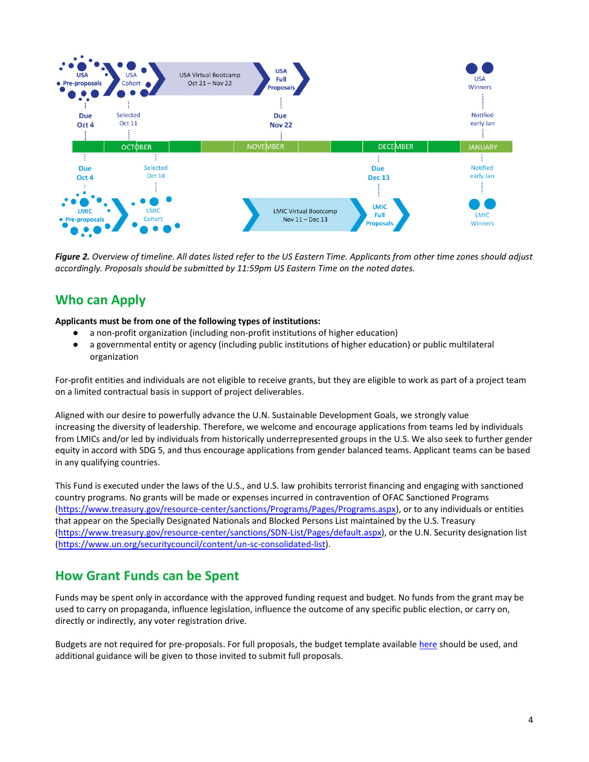

*Figure 2. Overview of timeline. All dates listed refer to the US Eastern Time. Applicants from other time zones should adjust accordingly. Proposals should be submitted by 11:59pm US Eastern Time on the noted dates.*

# **Who can Apply**

**Applicants must be from one of the following types of institutions:**

- a non-profit organization (including non-profit institutions of higher education)
- a governmental entity or agency (including public institutions of higher education) or public multilateral organization

For-profit entities and individuals are not eligible to receive grants, but they are eligible to work as part of a project team on a limited contractual basis in support of project deliverables.

Aligned with our desire to powerfully advance the U.N. Sustainable Development Goals, we strongly value increasing the diversity of leadership. Therefore, we welcome and encourage applications from teams led by individuals from LMICs and/or led by individuals from historically underrepresented groups in the U.S. We also seek to further gender equity in accord with SDG 5, and thus encourage applications from gender balanced teams. Applicant teams can be based in any qualifying countries.

This Fund is executed under the laws of the U.S., and U.S. law prohibits terrorist financing and engaging with sanctioned country programs. No grants will be made or expenses incurred in contravention of OFAC Sanctioned Programs [\(https://www.treasury.gov/resource-center/sanctions/Programs/Pages/Programs.aspx\)](https://www.treasury.gov/resource-center/sanctions/Programs/Pages/Programs.aspx), or to any individuals or entities that appear on the Specially Designated Nationals and Blocked Persons List maintained by the U.S. Treasury [\(https://www.treasury.gov/resource-center/sanctions/SDN-List/Pages/default.aspx\)](https://www.treasury.gov/resource-center/sanctions/SDN-List/Pages/default.aspx), or the U.N. Security designation list [\(https://www.un.org/securitycouncil/content/un-sc-consolidated-list\)](https://www.un.org/securitycouncil/content/un-sc-consolidated-list).

## **How Grant Funds can be Spent**

Funds may be spent only in accordance with the approved funding request and budget. No funds from the grant may be used to carry on propaganda, influence legislation, influence the outcome of any specific public election, or carry on, directly or indirectly, any voter registration drive.

Budgets are not required for pre-proposals. For full proposals, the budget template available [here](https://tnc.app.box.com/s/po766iss556ki5a2z4m095ui577h7wh2) should be used, and additional guidance will be given to those invited to submit full proposals.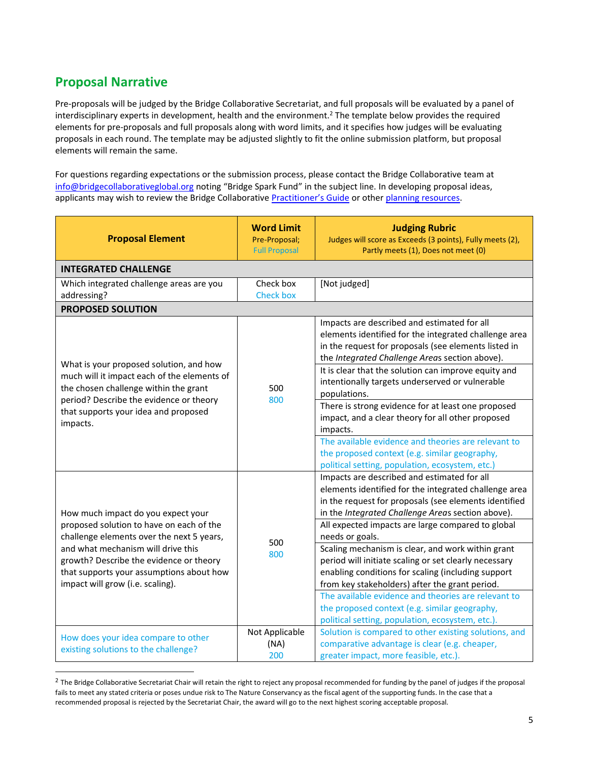# **Proposal Narrative**

Pre-proposals will be judged by the Bridge Collaborative Secretariat, and full proposals will be evaluated by a panel of interdisciplinary experts in development, health and the environment.<sup>2</sup> The template below provides the required elements for pre-proposals and full proposals along with word limits, and it specifies how judges will be evaluating proposals in each round. The template may be adjusted slightly to fit the online submission platform, but proposal elements will remain the same.

For questions regarding expectations or the submission process, please contact the Bridge Collaborative team at [info@bridgecollaborativeglobal.org](mailto:info@bridgecollaborativeglobal.org) noting "Bridge Spark Fund" in the subject line. In developing proposal ideas, applicants may wish to review the Bridge Collaborative [Practitioner's Guide](http://bridgecollaborativeglobal.org/wp-content/uploads/2018/02/Practitioners_Guide_Final_2.pdf) or other [planning resources.](http://bridgecollaborativeglobal.org/what-we-do/plan/)

| <b>Proposal Element</b>                                                                                                                                                                                                                                                                      | <b>Word Limit</b><br>Pre-Proposal;<br><b>Full Proposal</b> | <b>Judging Rubric</b><br>Judges will score as Exceeds (3 points), Fully meets (2),<br>Partly meets (1), Does not meet (0)                                                                                                                                                                                                                                                                                                                                                                                                                                                                                                                                                    |  |
|----------------------------------------------------------------------------------------------------------------------------------------------------------------------------------------------------------------------------------------------------------------------------------------------|------------------------------------------------------------|------------------------------------------------------------------------------------------------------------------------------------------------------------------------------------------------------------------------------------------------------------------------------------------------------------------------------------------------------------------------------------------------------------------------------------------------------------------------------------------------------------------------------------------------------------------------------------------------------------------------------------------------------------------------------|--|
| <b>INTEGRATED CHALLENGE</b>                                                                                                                                                                                                                                                                  |                                                            |                                                                                                                                                                                                                                                                                                                                                                                                                                                                                                                                                                                                                                                                              |  |
| Which integrated challenge areas are you<br>addressing?                                                                                                                                                                                                                                      | Check box<br><b>Check box</b>                              | [Not judged]                                                                                                                                                                                                                                                                                                                                                                                                                                                                                                                                                                                                                                                                 |  |
| <b>PROPOSED SOLUTION</b>                                                                                                                                                                                                                                                                     |                                                            |                                                                                                                                                                                                                                                                                                                                                                                                                                                                                                                                                                                                                                                                              |  |
| What is your proposed solution, and how<br>much will it impact each of the elements of<br>the chosen challenge within the grant<br>period? Describe the evidence or theory<br>that supports your idea and proposed<br>impacts.                                                               | 500<br>800                                                 | Impacts are described and estimated for all<br>elements identified for the integrated challenge area<br>in the request for proposals (see elements listed in<br>the Integrated Challenge Areas section above).<br>It is clear that the solution can improve equity and<br>intentionally targets underserved or vulnerable<br>populations.<br>There is strong evidence for at least one proposed<br>impact, and a clear theory for all other proposed<br>impacts.<br>The available evidence and theories are relevant to<br>the proposed context (e.g. similar geography,<br>political setting, population, ecosystem, etc.)                                                  |  |
| How much impact do you expect your<br>proposed solution to have on each of the<br>challenge elements over the next 5 years,<br>and what mechanism will drive this<br>growth? Describe the evidence or theory<br>that supports your assumptions about how<br>impact will grow (i.e. scaling). | 500<br>800                                                 | Impacts are described and estimated for all<br>elements identified for the integrated challenge area<br>in the request for proposals (see elements identified<br>in the Integrated Challenge Areas section above).<br>All expected impacts are large compared to global<br>needs or goals.<br>Scaling mechanism is clear, and work within grant<br>period will initiate scaling or set clearly necessary<br>enabling conditions for scaling (including support<br>from key stakeholders) after the grant period.<br>The available evidence and theories are relevant to<br>the proposed context (e.g. similar geography,<br>political setting, population, ecosystem, etc.). |  |
| How does your idea compare to other<br>existing solutions to the challenge?                                                                                                                                                                                                                  | Not Applicable<br>(NA)<br>200                              | Solution is compared to other existing solutions, and<br>comparative advantage is clear (e.g. cheaper,<br>greater impact, more feasible, etc.).                                                                                                                                                                                                                                                                                                                                                                                                                                                                                                                              |  |

 $^2$  The Bridge Collaborative Secretariat Chair will retain the right to reject any proposal recommended for funding by the panel of judges if the proposal fails to meet any stated criteria or poses undue risk to The Nature Conservancy as the fiscal agent of the supporting funds. In the case that a recommended proposal is rejected by the Secretariat Chair, the award will go to the next highest scoring acceptable proposal.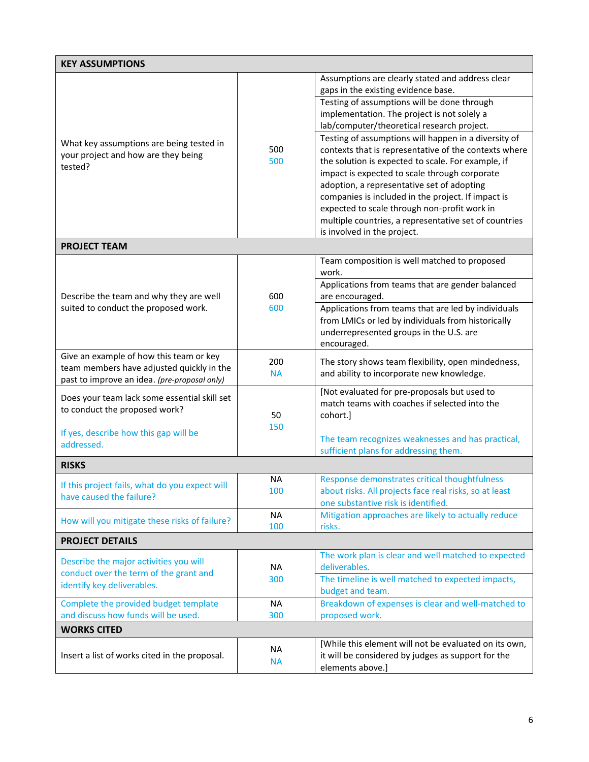| <b>KEY ASSUMPTIONS</b>                                                                     |                  |                                                               |  |
|--------------------------------------------------------------------------------------------|------------------|---------------------------------------------------------------|--|
|                                                                                            | 500<br>500       | Assumptions are clearly stated and address clear              |  |
|                                                                                            |                  | gaps in the existing evidence base.                           |  |
|                                                                                            |                  | Testing of assumptions will be done through                   |  |
|                                                                                            |                  | implementation. The project is not solely a                   |  |
|                                                                                            |                  | lab/computer/theoretical research project.                    |  |
|                                                                                            |                  | Testing of assumptions will happen in a diversity of          |  |
| What key assumptions are being tested in<br>your project and how are they being<br>tested? |                  | contexts that is representative of the contexts where         |  |
|                                                                                            |                  | the solution is expected to scale. For example, if            |  |
|                                                                                            |                  | impact is expected to scale through corporate                 |  |
|                                                                                            |                  | adoption, a representative set of adopting                    |  |
|                                                                                            |                  | companies is included in the project. If impact is            |  |
|                                                                                            |                  | expected to scale through non-profit work in                  |  |
|                                                                                            |                  | multiple countries, a representative set of countries         |  |
|                                                                                            |                  | is involved in the project.                                   |  |
| <b>PROJECT TEAM</b>                                                                        |                  |                                                               |  |
|                                                                                            |                  | Team composition is well matched to proposed                  |  |
|                                                                                            |                  | work.                                                         |  |
|                                                                                            |                  | Applications from teams that are gender balanced              |  |
| Describe the team and why they are well                                                    | 600              | are encouraged.                                               |  |
| suited to conduct the proposed work.                                                       | 600              | Applications from teams that are led by individuals           |  |
|                                                                                            |                  | from LMICs or led by individuals from historically            |  |
|                                                                                            |                  | underrepresented groups in the U.S. are                       |  |
| Give an example of how this team or key                                                    |                  | encouraged.                                                   |  |
| team members have adjusted quickly in the                                                  | 200              | The story shows team flexibility, open mindedness,            |  |
| past to improve an idea. (pre-proposal only)                                               | <b>NA</b>        | and ability to incorporate new knowledge.                     |  |
|                                                                                            |                  | [Not evaluated for pre-proposals but used to                  |  |
| Does your team lack some essential skill set                                               |                  | match teams with coaches if selected into the                 |  |
| to conduct the proposed work?                                                              | 50               | cohort.]                                                      |  |
|                                                                                            | 150              |                                                               |  |
| If yes, describe how this gap will be<br>addressed.                                        |                  | The team recognizes weaknesses and has practical,             |  |
|                                                                                            |                  | sufficient plans for addressing them.                         |  |
| <b>RISKS</b>                                                                               |                  |                                                               |  |
| If this project fails, what do you expect will                                             | <b>NA</b>        | Response demonstrates critical thoughtfulness                 |  |
| have caused the failure?                                                                   | 100              | about risks. All projects face real risks, so at least        |  |
|                                                                                            |                  | one substantive risk is identified.                           |  |
| How will you mitigate these risks of failure?                                              | <b>NA</b><br>100 | Mitigation approaches are likely to actually reduce<br>risks. |  |
| <b>PROJECT DETAILS</b>                                                                     |                  |                                                               |  |
|                                                                                            |                  | The work plan is clear and well matched to expected           |  |
| Describe the major activities you will                                                     | <b>NA</b>        | deliverables.                                                 |  |
| conduct over the term of the grant and                                                     | 300              | The timeline is well matched to expected impacts,             |  |
| identify key deliverables.                                                                 |                  | budget and team.                                              |  |
| Complete the provided budget template                                                      | <b>NA</b>        | Breakdown of expenses is clear and well-matched to            |  |
| and discuss how funds will be used.                                                        | 300              | proposed work.                                                |  |
| <b>WORKS CITED</b>                                                                         |                  |                                                               |  |
| Insert a list of works cited in the proposal.                                              | <b>NA</b>        | [While this element will not be evaluated on its own,         |  |
|                                                                                            | <b>NA</b>        | it will be considered by judges as support for the            |  |
|                                                                                            |                  | elements above.]                                              |  |